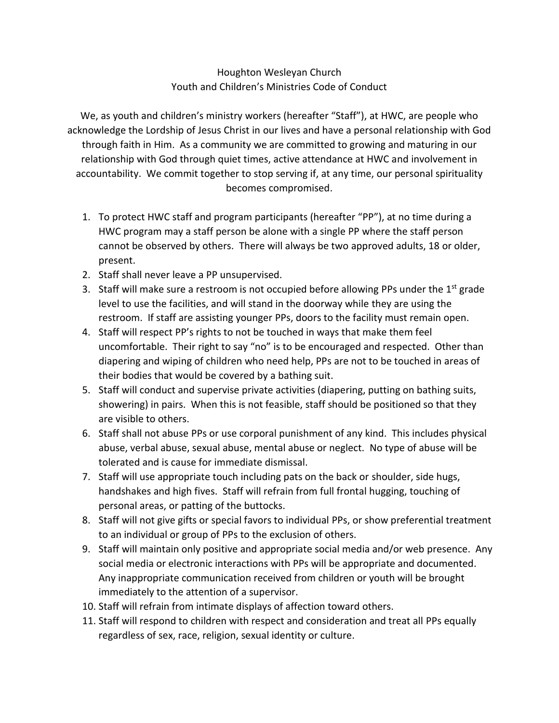## Houghton Wesleyan Church Youth and Children's Ministries Code of Conduct

We, as youth and children's ministry workers (hereafter "Staff"), at HWC, are people who acknowledge the Lordship of Jesus Christ in our lives and have a personal relationship with God through faith in Him. As a community we are committed to growing and maturing in our relationship with God through quiet times, active attendance at HWC and involvement in accountability. We commit together to stop serving if, at any time, our personal spirituality becomes compromised.

- 1. To protect HWC staff and program participants (hereafter "PP"), at no time during a HWC program may a staff person be alone with a single PP where the staff person cannot be observed by others. There will always be two approved adults, 18 or older, present.
- 2. Staff shall never leave a PP unsupervised.
- 3. Staff will make sure a restroom is not occupied before allowing PPs under the  $1<sup>st</sup>$  grade level to use the facilities, and will stand in the doorway while they are using the restroom. If staff are assisting younger PPs, doors to the facility must remain open.
- 4. Staff will respect PP's rights to not be touched in ways that make them feel uncomfortable. Their right to say "no" is to be encouraged and respected. Other than diapering and wiping of children who need help, PPs are not to be touched in areas of their bodies that would be covered by a bathing suit.
- 5. Staff will conduct and supervise private activities (diapering, putting on bathing suits, showering) in pairs. When this is not feasible, staff should be positioned so that they are visible to others.
- 6. Staff shall not abuse PPs or use corporal punishment of any kind. This includes physical abuse, verbal abuse, sexual abuse, mental abuse or neglect. No type of abuse will be tolerated and is cause for immediate dismissal.
- 7. Staff will use appropriate touch including pats on the back or shoulder, side hugs, handshakes and high fives. Staff will refrain from full frontal hugging, touching of personal areas, or patting of the buttocks.
- 8. Staff will not give gifts or special favors to individual PPs, or show preferential treatment to an individual or group of PPs to the exclusion of others.
- 9. Staff will maintain only positive and appropriate social media and/or web presence. Any social media or electronic interactions with PPs will be appropriate and documented. Any inappropriate communication received from children or youth will be brought immediately to the attention of a supervisor.
- 10. Staff will refrain from intimate displays of affection toward others.
- 11. Staff will respond to children with respect and consideration and treat all PPs equally regardless of sex, race, religion, sexual identity or culture.